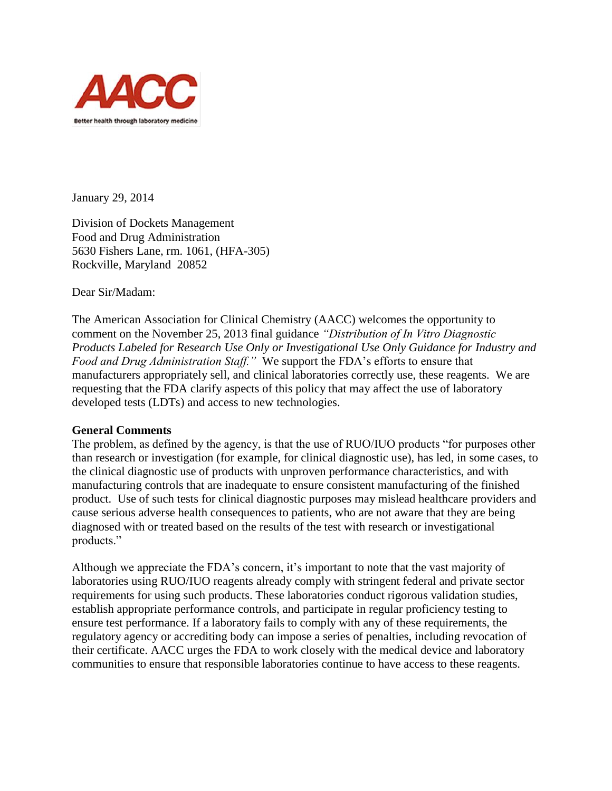

January 29, 2014

Division of Dockets Management Food and Drug Administration 5630 Fishers Lane, rm. 1061, (HFA-305) Rockville, Maryland 20852

Dear Sir/Madam:

The American Association for Clinical Chemistry (AACC) welcomes the opportunity to comment on the November 25, 2013 final guidance *"Distribution of In Vitro Diagnostic Products Labeled for Research Use Only or Investigational Use Only Guidance for Industry and Food and Drug Administration Staff."* We support the FDA's efforts to ensure that manufacturers appropriately sell, and clinical laboratories correctly use, these reagents. We are requesting that the FDA clarify aspects of this policy that may affect the use of laboratory developed tests (LDTs) and access to new technologies.

# **General Comments**

The problem, as defined by the agency, is that the use of RUO/IUO products "for purposes other than research or investigation (for example, for clinical diagnostic use), has led, in some cases, to the clinical diagnostic use of products with unproven performance characteristics, and with manufacturing controls that are inadequate to ensure consistent manufacturing of the finished product. Use of such tests for clinical diagnostic purposes may mislead healthcare providers and cause serious adverse health consequences to patients, who are not aware that they are being diagnosed with or treated based on the results of the test with research or investigational products."

Although we appreciate the FDA's concern, it's important to note that the vast majority of laboratories using RUO/IUO reagents already comply with stringent federal and private sector requirements for using such products. These laboratories conduct rigorous validation studies, establish appropriate performance controls, and participate in regular proficiency testing to ensure test performance. If a laboratory fails to comply with any of these requirements, the regulatory agency or accrediting body can impose a series of penalties, including revocation of their certificate. AACC urges the FDA to work closely with the medical device and laboratory communities to ensure that responsible laboratories continue to have access to these reagents.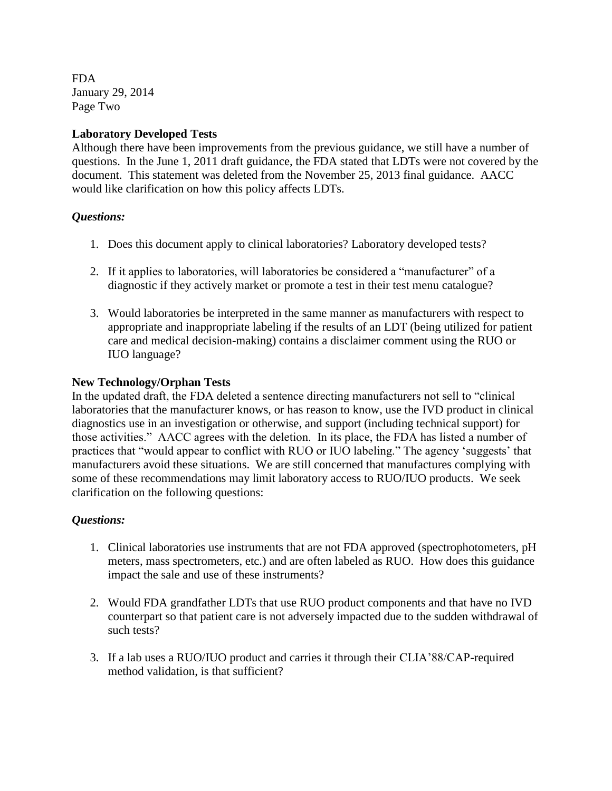FDA January 29, 2014 Page Two

# **Laboratory Developed Tests**

Although there have been improvements from the previous guidance, we still have a number of questions. In the June 1, 2011 draft guidance, the FDA stated that LDTs were not covered by the document. This statement was deleted from the November 25, 2013 final guidance. AACC would like clarification on how this policy affects LDTs.

# *Questions:*

- 1. Does this document apply to clinical laboratories? Laboratory developed tests?
- 2. If it applies to laboratories, will laboratories be considered a "manufacturer" of a diagnostic if they actively market or promote a test in their test menu catalogue?
- 3. Would laboratories be interpreted in the same manner as manufacturers with respect to appropriate and inappropriate labeling if the results of an LDT (being utilized for patient care and medical decision-making) contains a disclaimer comment using the RUO or IUO language?

## **New Technology/Orphan Tests**

In the updated draft, the FDA deleted a sentence directing manufacturers not sell to "clinical laboratories that the manufacturer knows, or has reason to know, use the IVD product in clinical diagnostics use in an investigation or otherwise, and support (including technical support) for those activities." AACC agrees with the deletion. In its place, the FDA has listed a number of practices that "would appear to conflict with RUO or IUO labeling." The agency 'suggests' that manufacturers avoid these situations. We are still concerned that manufactures complying with some of these recommendations may limit laboratory access to RUO/IUO products. We seek clarification on the following questions:

# *Questions:*

- 1. Clinical laboratories use instruments that are not FDA approved (spectrophotometers, pH meters, mass spectrometers, etc.) and are often labeled as RUO. How does this guidance impact the sale and use of these instruments?
- 2. Would FDA grandfather LDTs that use RUO product components and that have no IVD counterpart so that patient care is not adversely impacted due to the sudden withdrawal of such tests?
- 3. If a lab uses a RUO/IUO product and carries it through their CLIA'88/CAP-required method validation, is that sufficient?